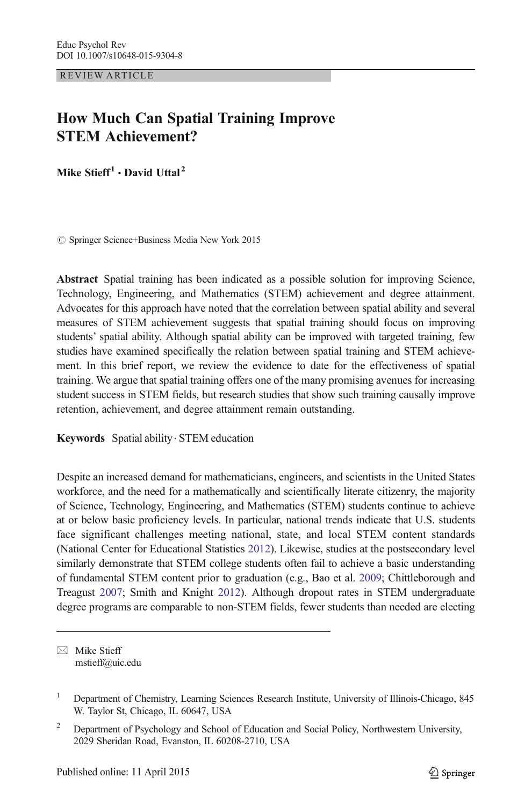REVIEW ARTICLE

# How Much Can Spatial Training Improve STEM Achievement?

Mike Stieff<sup>1</sup> • David Uttal<sup>2</sup>

 $\circledcirc$  Springer Science+Business Media New York 2015

Abstract Spatial training has been indicated as a possible solution for improving Science, Technology, Engineering, and Mathematics (STEM) achievement and degree attainment. Advocates for this approach have noted that the correlation between spatial ability and several measures of STEM achievement suggests that spatial training should focus on improving students' spatial ability. Although spatial ability can be improved with targeted training, few studies have examined specifically the relation between spatial training and STEM achievement. In this brief report, we review the evidence to date for the effectiveness of spatial training. We argue that spatial training offers one of the many promising avenues for increasing student success in STEM fields, but research studies that show such training causally improve retention, achievement, and degree attainment remain outstanding.

Keywords Spatial ability. STEM education

Despite an increased demand for mathematicians, engineers, and scientists in the United States workforce, and the need for a mathematically and scientifically literate citizenry, the majority of Science, Technology, Engineering, and Mathematics (STEM) students continue to achieve at or below basic proficiency levels. In particular, national trends indicate that U.S. students face significant challenges meeting national, state, and local STEM content standards (National Center for Educational Statistics [2012](#page-7-0)). Likewise, studies at the postsecondary level similarly demonstrate that STEM college students often fail to achieve a basic understanding of fundamental STEM content prior to graduation (e.g., Bao et al. [2009](#page-7-0); Chittleborough and Treagust [2007;](#page-7-0) Smith and Knight [2012\)](#page-8-0). Although dropout rates in STEM undergraduate degree programs are comparable to non-STEM fields, fewer students than needed are electing

 $\boxtimes$  Mike Stieff mstieff@uic.edu

<sup>&</sup>lt;sup>1</sup> Department of Chemistry, Learning Sciences Research Institute, University of Illinois-Chicago, 845 W. Taylor St, Chicago, IL 60647, USA

<sup>&</sup>lt;sup>2</sup> Department of Psychology and School of Education and Social Policy, Northwestern University, 2029 Sheridan Road, Evanston, IL 60208-2710, USA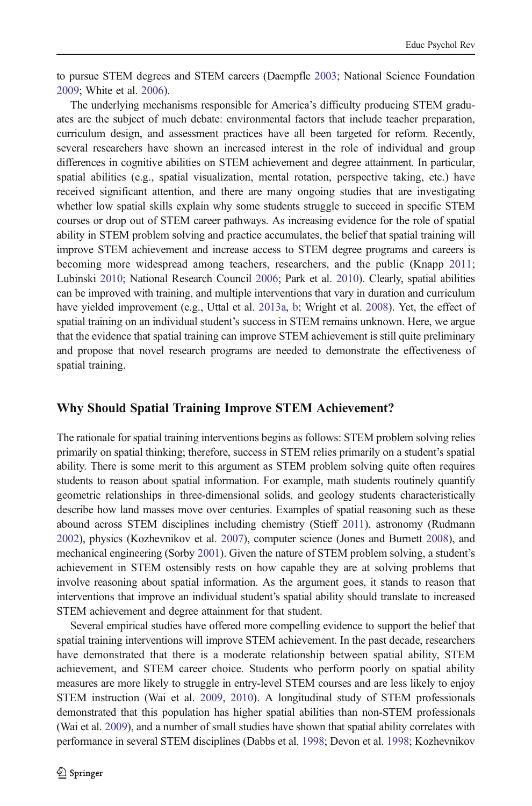to pursue STEM degrees and STEM careers (Daempfle [2003](#page-7-0); National Science Foundation [2009](#page-8-0); White et al. [2006](#page-8-0)).

The underlying mechanisms responsible for America's difficulty producing STEM graduates are the subject of much debate: environmental factors that include teacher preparation, curriculum design, and assessment practices have all been targeted for reform. Recently, several researchers have shown an increased interest in the role of individual and group differences in cognitive abilities on STEM achievement and degree attainment. In particular, spatial abilities (e.g., spatial visualization, mental rotation, perspective taking, etc.) have received significant attention, and there are many ongoing studies that are investigating whether low spatial skills explain why some students struggle to succeed in specific STEM courses or drop out of STEM career pathways. As increasing evidence for the role of spatial ability in STEM problem solving and practice accumulates, the belief that spatial training will improve STEM achievement and increase access to STEM degree programs and careers is becoming more widespread among teachers, researchers, and the public (Knapp [2011](#page-7-0); Lubinski [2010](#page-7-0); National Research Council [2006;](#page-7-0) Park et al. [2010](#page-8-0)). Clearly, spatial abilities can be improved with training, and multiple interventions that vary in duration and curriculum have yielded improvement (e.g., Uttal et al. [2013a](#page-8-0), [b](#page-8-0); Wright et al. [2008\)](#page-8-0). Yet, the effect of spatial training on an individual student's success in STEM remains unknown. Here, we argue that the evidence that spatial training can improve STEM achievement is still quite preliminary and propose that novel research programs are needed to demonstrate the effectiveness of spatial training.

### Why Should Spatial Training Improve STEM Achievement?

The rationale for spatial training interventions begins as follows: STEM problem solving relies primarily on spatial thinking; therefore, success in STEM relies primarily on a student's spatial ability. There is some merit to this argument as STEM problem solving quite often requires students to reason about spatial information. For example, math students routinely quantify geometric relationships in three-dimensional solids, and geology students characteristically describe how land masses move over centuries. Examples of spatial reasoning such as these abound across STEM disciplines including chemistry (Stieff [2011](#page-8-0)), astronomy (Rudmann [2002](#page-8-0)), physics (Kozhevnikov et al. [2007](#page-7-0)), computer science (Jones and Burnett [2008\)](#page-7-0), and mechanical engineering (Sorby [2001\)](#page-8-0). Given the nature of STEM problem solving, a student's achievement in STEM ostensibly rests on how capable they are at solving problems that involve reasoning about spatial information. As the argument goes, it stands to reason that interventions that improve an individual student's spatial ability should translate to increased STEM achievement and degree attainment for that student.

Several empirical studies have offered more compelling evidence to support the belief that spatial training interventions will improve STEM achievement. In the past decade, researchers have demonstrated that there is a moderate relationship between spatial ability, STEM achievement, and STEM career choice. Students who perform poorly on spatial ability measures are more likely to struggle in entry-level STEM courses and are less likely to enjoy STEM instruction (Wai et al. [2009](#page-8-0), [2010](#page-8-0)). A longitudinal study of STEM professionals demonstrated that this population has higher spatial abilities than non-STEM professionals (Wai et al. [2009](#page-8-0)), and a number of small studies have shown that spatial ability correlates with performance in several STEM disciplines (Dabbs et al. [1998;](#page-7-0) Devon et al. [1998](#page-7-0); Kozhevnikov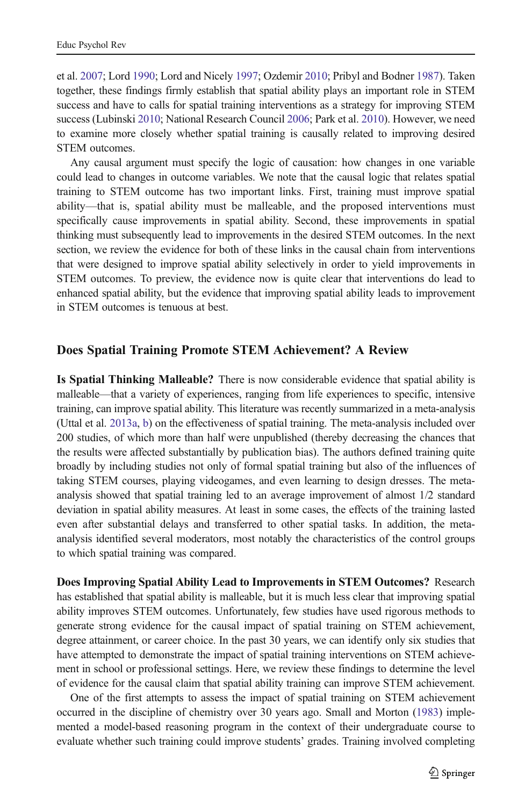et al. [2007;](#page-7-0) Lord [1990](#page-7-0); Lord and Nicely [1997](#page-7-0); Ozdemir [2010](#page-8-0); Pribyl and Bodner [1987\)](#page-8-0). Taken together, these findings firmly establish that spatial ability plays an important role in STEM success and have to calls for spatial training interventions as a strategy for improving STEM success (Lubinski [2010](#page-7-0); National Research Council [2006;](#page-7-0) Park et al. [2010](#page-8-0)). However, we need to examine more closely whether spatial training is causally related to improving desired STEM outcomes.

Any causal argument must specify the logic of causation: how changes in one variable could lead to changes in outcome variables. We note that the causal logic that relates spatial training to STEM outcome has two important links. First, training must improve spatial ability—that is, spatial ability must be malleable, and the proposed interventions must specifically cause improvements in spatial ability. Second, these improvements in spatial thinking must subsequently lead to improvements in the desired STEM outcomes. In the next section, we review the evidence for both of these links in the causal chain from interventions that were designed to improve spatial ability selectively in order to yield improvements in STEM outcomes. To preview, the evidence now is quite clear that interventions do lead to enhanced spatial ability, but the evidence that improving spatial ability leads to improvement in STEM outcomes is tenuous at best.

# Does Spatial Training Promote STEM Achievement? A Review

Is Spatial Thinking Malleable? There is now considerable evidence that spatial ability is malleable—that a variety of experiences, ranging from life experiences to specific, intensive training, can improve spatial ability. This literature was recently summarized in a meta-analysis (Uttal et al. [2013a](#page-8-0), [b\)](#page-8-0) on the effectiveness of spatial training. The meta-analysis included over 200 studies, of which more than half were unpublished (thereby decreasing the chances that the results were affected substantially by publication bias). The authors defined training quite broadly by including studies not only of formal spatial training but also of the influences of taking STEM courses, playing videogames, and even learning to design dresses. The metaanalysis showed that spatial training led to an average improvement of almost 1/2 standard deviation in spatial ability measures. At least in some cases, the effects of the training lasted even after substantial delays and transferred to other spatial tasks. In addition, the metaanalysis identified several moderators, most notably the characteristics of the control groups to which spatial training was compared.

Does Improving Spatial Ability Lead to Improvements in STEM Outcomes? Research has established that spatial ability is malleable, but it is much less clear that improving spatial ability improves STEM outcomes. Unfortunately, few studies have used rigorous methods to generate strong evidence for the causal impact of spatial training on STEM achievement, degree attainment, or career choice. In the past 30 years, we can identify only six studies that have attempted to demonstrate the impact of spatial training interventions on STEM achievement in school or professional settings. Here, we review these findings to determine the level of evidence for the causal claim that spatial ability training can improve STEM achievement.

One of the first attempts to assess the impact of spatial training on STEM achievement occurred in the discipline of chemistry over 30 years ago. Small and Morton [\(1983](#page-8-0)) implemented a model-based reasoning program in the context of their undergraduate course to evaluate whether such training could improve students' grades. Training involved completing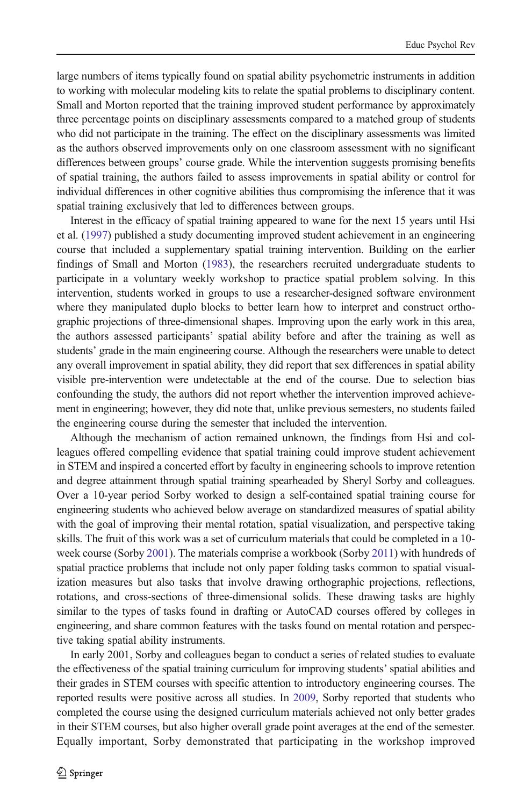large numbers of items typically found on spatial ability psychometric instruments in addition to working with molecular modeling kits to relate the spatial problems to disciplinary content. Small and Morton reported that the training improved student performance by approximately three percentage points on disciplinary assessments compared to a matched group of students who did not participate in the training. The effect on the disciplinary assessments was limited as the authors observed improvements only on one classroom assessment with no significant differences between groups' course grade. While the intervention suggests promising benefits of spatial training, the authors failed to assess improvements in spatial ability or control for individual differences in other cognitive abilities thus compromising the inference that it was spatial training exclusively that led to differences between groups.

Interest in the efficacy of spatial training appeared to wane for the next 15 years until Hsi et al. [\(1997\)](#page-7-0) published a study documenting improved student achievement in an engineering course that included a supplementary spatial training intervention. Building on the earlier findings of Small and Morton [\(1983\)](#page-8-0), the researchers recruited undergraduate students to participate in a voluntary weekly workshop to practice spatial problem solving. In this intervention, students worked in groups to use a researcher-designed software environment where they manipulated duplo blocks to better learn how to interpret and construct orthographic projections of three-dimensional shapes. Improving upon the early work in this area, the authors assessed participants' spatial ability before and after the training as well as students' grade in the main engineering course. Although the researchers were unable to detect any overall improvement in spatial ability, they did report that sex differences in spatial ability visible pre-intervention were undetectable at the end of the course. Due to selection bias confounding the study, the authors did not report whether the intervention improved achievement in engineering; however, they did note that, unlike previous semesters, no students failed the engineering course during the semester that included the intervention.

Although the mechanism of action remained unknown, the findings from Hsi and colleagues offered compelling evidence that spatial training could improve student achievement in STEM and inspired a concerted effort by faculty in engineering schools to improve retention and degree attainment through spatial training spearheaded by Sheryl Sorby and colleagues. Over a 10-year period Sorby worked to design a self-contained spatial training course for engineering students who achieved below average on standardized measures of spatial ability with the goal of improving their mental rotation, spatial visualization, and perspective taking skills. The fruit of this work was a set of curriculum materials that could be completed in a 10 week course (Sorby [2001\)](#page-8-0). The materials comprise a workbook (Sorby [2011\)](#page-8-0) with hundreds of spatial practice problems that include not only paper folding tasks common to spatial visualization measures but also tasks that involve drawing orthographic projections, reflections, rotations, and cross-sections of three-dimensional solids. These drawing tasks are highly similar to the types of tasks found in drafting or AutoCAD courses offered by colleges in engineering, and share common features with the tasks found on mental rotation and perspective taking spatial ability instruments.

In early 2001, Sorby and colleagues began to conduct a series of related studies to evaluate the effectiveness of the spatial training curriculum for improving students' spatial abilities and their grades in STEM courses with specific attention to introductory engineering courses. The reported results were positive across all studies. In [2009,](#page-8-0) Sorby reported that students who completed the course using the designed curriculum materials achieved not only better grades in their STEM courses, but also higher overall grade point averages at the end of the semester. Equally important, Sorby demonstrated that participating in the workshop improved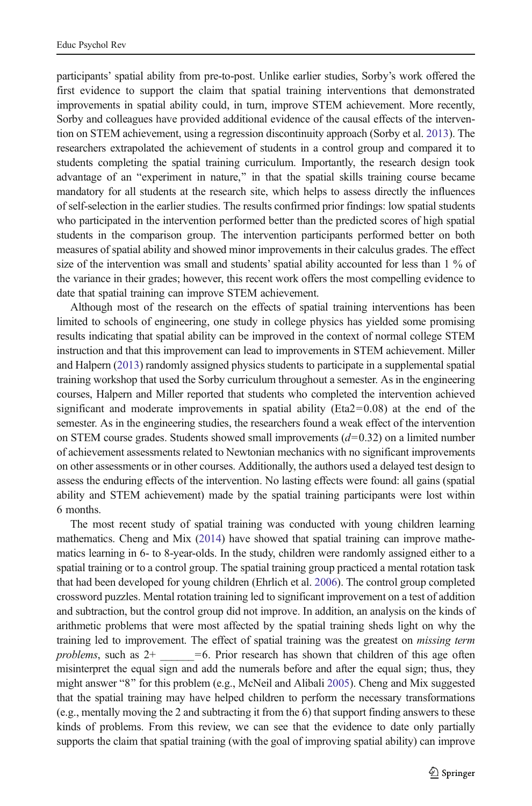participants' spatial ability from pre-to-post. Unlike earlier studies, Sorby's work offered the first evidence to support the claim that spatial training interventions that demonstrated improvements in spatial ability could, in turn, improve STEM achievement. More recently, Sorby and colleagues have provided additional evidence of the causal effects of the intervention on STEM achievement, using a regression discontinuity approach (Sorby et al. [2013\)](#page-8-0). The researchers extrapolated the achievement of students in a control group and compared it to students completing the spatial training curriculum. Importantly, the research design took advantage of an "experiment in nature," in that the spatial skills training course became mandatory for all students at the research site, which helps to assess directly the influences of self-selection in the earlier studies. The results confirmed prior findings: low spatial students who participated in the intervention performed better than the predicted scores of high spatial students in the comparison group. The intervention participants performed better on both measures of spatial ability and showed minor improvements in their calculus grades. The effect size of the intervention was small and students' spatial ability accounted for less than 1 % of the variance in their grades; however, this recent work offers the most compelling evidence to date that spatial training can improve STEM achievement.

Although most of the research on the effects of spatial training interventions has been limited to schools of engineering, one study in college physics has yielded some promising results indicating that spatial ability can be improved in the context of normal college STEM instruction and that this improvement can lead to improvements in STEM achievement. Miller and Halpern ([2013](#page-7-0)) randomly assigned physics students to participate in a supplemental spatial training workshop that used the Sorby curriculum throughout a semester. As in the engineering courses, Halpern and Miller reported that students who completed the intervention achieved significant and moderate improvements in spatial ability ( $Eta2=0.08$ ) at the end of the semester. As in the engineering studies, the researchers found a weak effect of the intervention on STEM course grades. Students showed small improvements  $(d=0.32)$  on a limited number of achievement assessments related to Newtonian mechanics with no significant improvements on other assessments or in other courses. Additionally, the authors used a delayed test design to assess the enduring effects of the intervention. No lasting effects were found: all gains (spatial ability and STEM achievement) made by the spatial training participants were lost within 6 months.

The most recent study of spatial training was conducted with young children learning mathematics. Cheng and Mix [\(2014\)](#page-7-0) have showed that spatial training can improve mathematics learning in 6- to 8-year-olds. In the study, children were randomly assigned either to a spatial training or to a control group. The spatial training group practiced a mental rotation task that had been developed for young children (Ehrlich et al. [2006\)](#page-7-0). The control group completed crossword puzzles. Mental rotation training led to significant improvement on a test of addition and subtraction, but the control group did not improve. In addition, an analysis on the kinds of arithmetic problems that were most affected by the spatial training sheds light on why the training led to improvement. The effect of spatial training was the greatest on missing term problems, such as  $2+ = 6$ . Prior research has shown that children of this age often misinterpret the equal sign and add the numerals before and after the equal sign; thus, they might answer "8" for this problem (e.g., McNeil and Alibali [2005\)](#page-7-0). Cheng and Mix suggested that the spatial training may have helped children to perform the necessary transformations (e.g., mentally moving the 2 and subtracting it from the 6) that support finding answers to these kinds of problems. From this review, we can see that the evidence to date only partially supports the claim that spatial training (with the goal of improving spatial ability) can improve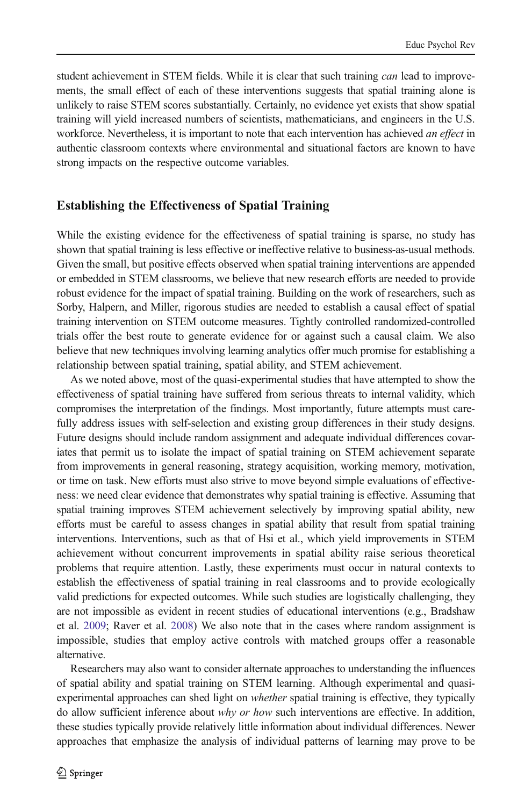student achievement in STEM fields. While it is clear that such training *can* lead to improvements, the small effect of each of these interventions suggests that spatial training alone is unlikely to raise STEM scores substantially. Certainly, no evidence yet exists that show spatial training will yield increased numbers of scientists, mathematicians, and engineers in the U.S. workforce. Nevertheless, it is important to note that each intervention has achieved an effect in authentic classroom contexts where environmental and situational factors are known to have strong impacts on the respective outcome variables.

# Establishing the Effectiveness of Spatial Training

While the existing evidence for the effectiveness of spatial training is sparse, no study has shown that spatial training is less effective or ineffective relative to business-as-usual methods. Given the small, but positive effects observed when spatial training interventions are appended or embedded in STEM classrooms, we believe that new research efforts are needed to provide robust evidence for the impact of spatial training. Building on the work of researchers, such as Sorby, Halpern, and Miller, rigorous studies are needed to establish a causal effect of spatial training intervention on STEM outcome measures. Tightly controlled randomized-controlled trials offer the best route to generate evidence for or against such a causal claim. We also believe that new techniques involving learning analytics offer much promise for establishing a relationship between spatial training, spatial ability, and STEM achievement.

As we noted above, most of the quasi-experimental studies that have attempted to show the effectiveness of spatial training have suffered from serious threats to internal validity, which compromises the interpretation of the findings. Most importantly, future attempts must carefully address issues with self-selection and existing group differences in their study designs. Future designs should include random assignment and adequate individual differences covariates that permit us to isolate the impact of spatial training on STEM achievement separate from improvements in general reasoning, strategy acquisition, working memory, motivation, or time on task. New efforts must also strive to move beyond simple evaluations of effectiveness: we need clear evidence that demonstrates why spatial training is effective. Assuming that spatial training improves STEM achievement selectively by improving spatial ability, new efforts must be careful to assess changes in spatial ability that result from spatial training interventions. Interventions, such as that of Hsi et al., which yield improvements in STEM achievement without concurrent improvements in spatial ability raise serious theoretical problems that require attention. Lastly, these experiments must occur in natural contexts to establish the effectiveness of spatial training in real classrooms and to provide ecologically valid predictions for expected outcomes. While such studies are logistically challenging, they are not impossible as evident in recent studies of educational interventions (e.g., Bradshaw et al. [2009;](#page-7-0) Raver et al. [2008\)](#page-8-0) We also note that in the cases where random assignment is impossible, studies that employ active controls with matched groups offer a reasonable alternative.

Researchers may also want to consider alternate approaches to understanding the influences of spatial ability and spatial training on STEM learning. Although experimental and quasiexperimental approaches can shed light on *whether* spatial training is effective, they typically do allow sufficient inference about why or how such interventions are effective. In addition, these studies typically provide relatively little information about individual differences. Newer approaches that emphasize the analysis of individual patterns of learning may prove to be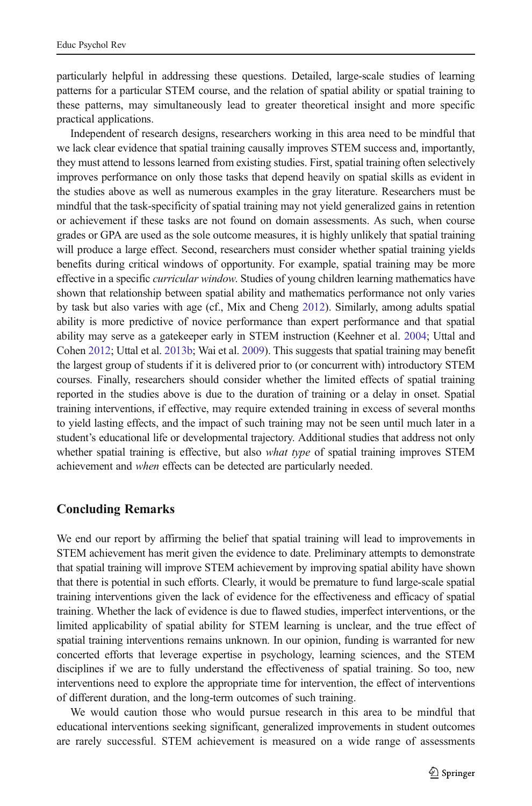particularly helpful in addressing these questions. Detailed, large-scale studies of learning patterns for a particular STEM course, and the relation of spatial ability or spatial training to these patterns, may simultaneously lead to greater theoretical insight and more specific practical applications.

Independent of research designs, researchers working in this area need to be mindful that we lack clear evidence that spatial training causally improves STEM success and, importantly, they must attend to lessons learned from existing studies. First, spatial training often selectively improves performance on only those tasks that depend heavily on spatial skills as evident in the studies above as well as numerous examples in the gray literature. Researchers must be mindful that the task-specificity of spatial training may not yield generalized gains in retention or achievement if these tasks are not found on domain assessments. As such, when course grades or GPA are used as the sole outcome measures, it is highly unlikely that spatial training will produce a large effect. Second, researchers must consider whether spatial training yields benefits during critical windows of opportunity. For example, spatial training may be more effective in a specific *curricular window*. Studies of young children learning mathematics have shown that relationship between spatial ability and mathematics performance not only varies by task but also varies with age (cf., Mix and Cheng [2012\)](#page-7-0). Similarly, among adults spatial ability is more predictive of novice performance than expert performance and that spatial ability may serve as a gatekeeper early in STEM instruction (Keehner et al. [2004](#page-7-0); Uttal and Cohen [2012;](#page-8-0) Uttal et al. [2013b](#page-8-0); Wai et al. [2009](#page-8-0)). This suggests that spatial training may benefit the largest group of students if it is delivered prior to (or concurrent with) introductory STEM courses. Finally, researchers should consider whether the limited effects of spatial training reported in the studies above is due to the duration of training or a delay in onset. Spatial training interventions, if effective, may require extended training in excess of several months to yield lasting effects, and the impact of such training may not be seen until much later in a student's educational life or developmental trajectory. Additional studies that address not only whether spatial training is effective, but also *what type* of spatial training improves STEM achievement and when effects can be detected are particularly needed.

### Concluding Remarks

We end our report by affirming the belief that spatial training will lead to improvements in STEM achievement has merit given the evidence to date. Preliminary attempts to demonstrate that spatial training will improve STEM achievement by improving spatial ability have shown that there is potential in such efforts. Clearly, it would be premature to fund large-scale spatial training interventions given the lack of evidence for the effectiveness and efficacy of spatial training. Whether the lack of evidence is due to flawed studies, imperfect interventions, or the limited applicability of spatial ability for STEM learning is unclear, and the true effect of spatial training interventions remains unknown. In our opinion, funding is warranted for new concerted efforts that leverage expertise in psychology, learning sciences, and the STEM disciplines if we are to fully understand the effectiveness of spatial training. So too, new interventions need to explore the appropriate time for intervention, the effect of interventions of different duration, and the long-term outcomes of such training.

We would caution those who would pursue research in this area to be mindful that educational interventions seeking significant, generalized improvements in student outcomes are rarely successful. STEM achievement is measured on a wide range of assessments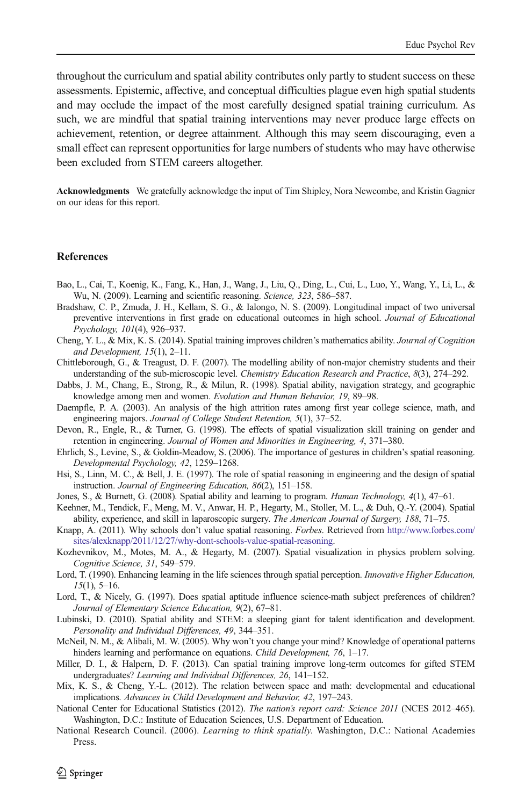<span id="page-7-0"></span>throughout the curriculum and spatial ability contributes only partly to student success on these assessments. Epistemic, affective, and conceptual difficulties plague even high spatial students and may occlude the impact of the most carefully designed spatial training curriculum. As such, we are mindful that spatial training interventions may never produce large effects on achievement, retention, or degree attainment. Although this may seem discouraging, even a small effect can represent opportunities for large numbers of students who may have otherwise been excluded from STEM careers altogether.

Acknowledgments We gratefully acknowledge the input of Tim Shipley, Nora Newcombe, and Kristin Gagnier on our ideas for this report.

#### **References**

- Bao, L., Cai, T., Koenig, K., Fang, K., Han, J., Wang, J., Liu, Q., Ding, L., Cui, L., Luo, Y., Wang, Y., Li, L., & Wu, N. (2009). Learning and scientific reasoning. Science, 323, 586–587.
- Bradshaw, C. P., Zmuda, J. H., Kellam, S. G., & Ialongo, N. S. (2009). Longitudinal impact of two universal preventive interventions in first grade on educational outcomes in high school. Journal of Educational Psychology, 101(4), 926–937.
- Cheng, Y. L., & Mix, K. S. (2014). Spatial training improves children's mathematics ability. Journal of Cognition and Development, 15(1), 2–11.
- Chittleborough, G., & Treagust, D. F. (2007). The modelling ability of non-major chemistry students and their understanding of the sub-microscopic level. Chemistry Education Research and Practice, 8(3), 274–292.
- Dabbs, J. M., Chang, E., Strong, R., & Milun, R. (1998). Spatial ability, navigation strategy, and geographic knowledge among men and women. Evolution and Human Behavior, 19, 89–98.
- Daempfle, P. A. (2003). An analysis of the high attrition rates among first year college science, math, and engineering majors. Journal of College Student Retention, 5(1), 37–52.
- Devon, R., Engle, R., & Turner, G. (1998). The effects of spatial visualization skill training on gender and retention in engineering. Journal of Women and Minorities in Engineering, 4, 371–380.
- Ehrlich, S., Levine, S., & Goldin-Meadow, S. (2006). The importance of gestures in children's spatial reasoning. Developmental Psychology, 42, 1259–1268.
- Hsi, S., Linn, M. C., & Bell, J. E. (1997). The role of spatial reasoning in engineering and the design of spatial instruction. Journal of Engineering Education, 86(2), 151–158.
- Jones, S., & Burnett, G. (2008). Spatial ability and learning to program. Human Technology, 4(1), 47–61.
- Keehner, M., Tendick, F., Meng, M. V., Anwar, H. P., Hegarty, M., Stoller, M. L., & Duh, Q.-Y. (2004). Spatial ability, experience, and skill in laparoscopic surgery. The American Journal of Surgery, 188, 71–75.
- Knapp, A. (2011). Why schools don't value spatial reasoning. Forbes. Retrieved from [http://www.forbes.com/](http://www.forbes.com/sites/alexknapp/2011/12/27/why-dont-schools-value-spatial-reasoning) [sites/alexknapp/2011/12/27/why-dont-schools-value-spatial-reasoning](http://www.forbes.com/sites/alexknapp/2011/12/27/why-dont-schools-value-spatial-reasoning).
- Kozhevnikov, M., Motes, M. A., & Hegarty, M. (2007). Spatial visualization in physics problem solving. Cognitive Science, 31, 549–579.
- Lord, T. (1990). Enhancing learning in the life sciences through spatial perception. *Innovative Higher Education*,  $15(1)$ , 5-16.
- Lord, T., & Nicely, G. (1997). Does spatial aptitude influence science-math subject preferences of children? Journal of Elementary Science Education, 9(2), 67–81.
- Lubinski, D. (2010). Spatial ability and STEM: a sleeping giant for talent identification and development. Personality and Individual Differences, 49, 344–351.
- McNeil, N. M., & Alibali, M. W. (2005). Why won't you change your mind? Knowledge of operational patterns hinders learning and performance on equations. Child Development, 76, 1–17.
- Miller, D. I., & Halpern, D. F. (2013). Can spatial training improve long-term outcomes for gifted STEM undergraduates? Learning and Individual Differences, 26, 141–152.
- Mix, K. S., & Cheng, Y.-L. (2012). The relation between space and math: developmental and educational implications. Advances in Child Development and Behavior, 42, 197–243.
- National Center for Educational Statistics (2012). The nation's report card: Science 2011 (NCES 2012-465). Washington, D.C.: Institute of Education Sciences, U.S. Department of Education.
- National Research Council. (2006). Learning to think spatially. Washington, D.C.: National Academies Press.